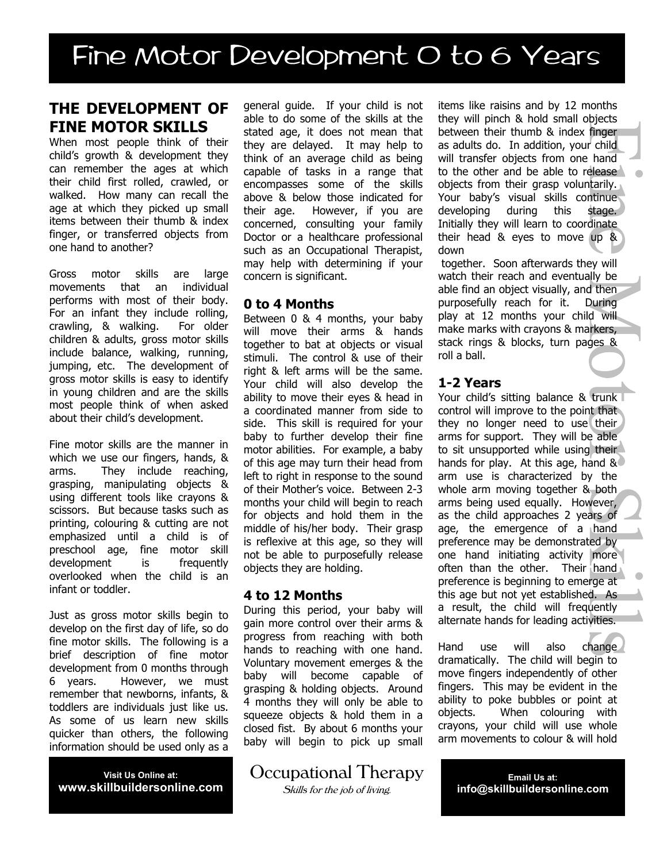# Fine Motor Development O to 6 Years

# **THE DEVELOPMENT OF FINE MOTOR SKILLS**

When most people think of their child's growth & development they can remember the ages at which their child first rolled, crawled, or walked. How many can recall the age at which they picked up small items between their thumb & index finger, or transferred objects from one hand to another?

Gross motor skills are large movements that an individual performs with most of their body. For an infant they include rolling, crawling, & walking. For older children & adults, gross motor skills include balance, walking, running, jumping, etc. The development of gross motor skills is easy to identify in young children and are the skills most people think of when asked about their child's development.

Fine motor skills are the manner in which we use our fingers, hands, & arms. They include reaching, grasping, manipulating objects & using different tools like crayons & scissors. But because tasks such as printing, colouring & cutting are not emphasized until a child is of preschool age, fine motor skill development is frequently overlooked when the child is an infant or toddler.

Just as gross motor skills begin to develop on the first day of life, so do fine motor skills. The following is a brief description of fine motor development from 0 months through 6 years. However, we must remember that newborns, infants, & toddlers are individuals just like us. As some of us learn new skills quicker than others, the following information should be used only as a

**Visit Us Online at: www.skillbuildersonline.com**

general guide. If your child is not able to do some of the skills at the stated age, it does not mean that they are delayed. It may help to think of an average child as being capable of tasks in a range that encompasses some of the skills above & below those indicated for their age. However, if you are concerned, consulting your family Doctor or a healthcare professional such as an Occupational Therapist, may help with determining if your concern is significant.

#### **0 to 4 Months**

Between 0 & 4 months, your baby will move their arms & hands together to bat at objects or visual stimuli. The control & use of their right & left arms will be the same. Your child will also develop the ability to move their eyes & head in a coordinated manner from side to side. This skill is required for your baby to further develop their fine motor abilities. For example, a baby of this age may turn their head from left to right in response to the sound of their Mother's voice. Between 2-3 months your child will begin to reach for objects and hold them in the middle of his/her body. Their grasp is reflexive at this age, so they will not be able to purposefully release objects they are holding.

#### **4 to 12 Months**

During this period, your baby will gain more control over their arms & progress from reaching with both hands to reaching with one hand. Voluntary movement emerges & the baby will become capable of grasping & holding objects. Around 4 months they will only be able to squeeze objects & hold them in a closed fist. By about 6 months your baby will begin to pick up small

Occupational Therapy

Skills for the job of living.

items like raisins and by 12 months they will pinch & hold small objects between their thumb & index finger as adults do. In addition, your child will transfer objects from one hand to the other and be able to release objects from their grasp voluntarily. Your baby's visual skills continue developing during this stage. Initially they will learn to coordinate their head & eyes to move up & down

together. Soon afterwards they will watch their reach and eventually be able find an object visually, and then purposefully reach for it. During play at 12 months your child will make marks with crayons & markers, stack rings & blocks, turn pages & roll a ball.

### **1-2 Years**

Your child's sitting balance & trunk control will improve to the point that they no longer need to use their arms for support. They will be able to sit unsupported while using their hands for play. At this age, hand & arm use is characterized by the whole arm moving together & both arms being used equally. However, as the child approaches 2 years of age, the emergence of a hand preference may be demonstrated by one hand initiating activity more often than the other. Their hand preference is beginning to emerge at this age but not yet established. As a result, the child will frequently alternate hands for leading activities.

Hand use will also change dramatically. The child will begin to move fingers independently of other fingers. This may be evident in the ability to poke bubbles or point at objects. When colouring with crayons, your child will use whole arm movements to colour & will hold

> **Email Us at: info@skillbuildersonline.com**